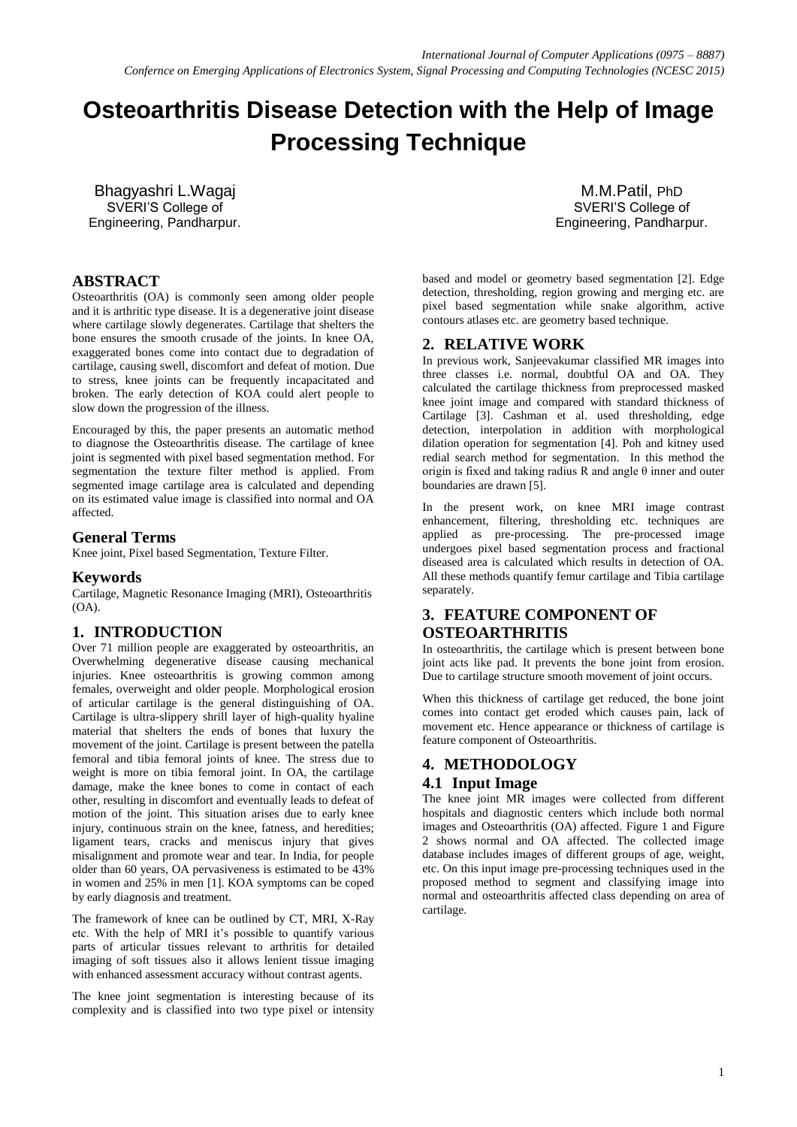# **Osteoarthritis Disease Detection with the Help of Image Processing Technique**

Bhagyashri L.Wagaj SVERI'S College of Engineering, Pandharpur.

# **ABSTRACT**

Osteoarthritis (OA) is commonly seen among older people and it is arthritic type disease. It is a degenerative joint disease where cartilage slowly degenerates. Cartilage that shelters the bone ensures the smooth crusade of the joints. In knee OA, exaggerated bones come into contact due to degradation of cartilage, causing swell, discomfort and defeat of motion. Due to stress, knee joints can be frequently incapacitated and broken. The early detection of KOA could alert people to slow down the progression of the illness.

Encouraged by this, the paper presents an automatic method to diagnose the Osteoarthritis disease. The cartilage of knee joint is segmented with pixel based segmentation method. For segmentation the texture filter method is applied. From segmented image cartilage area is calculated and depending on its estimated value image is classified into normal and OA affected.

## **General Terms**

Knee joint, Pixel based Segmentation, Texture Filter.

## **Keywords**

Cartilage, Magnetic Resonance Imaging (MRI), Osteoarthritis (OA).

## **1. INTRODUCTION**

Over 71 million people are exaggerated by osteoarthritis, an Overwhelming degenerative disease causing mechanical injuries. Knee osteoarthritis is growing common among females, overweight and older people. Morphological erosion of articular cartilage is the general distinguishing of OA. Cartilage is ultra-slippery shrill layer of high-quality hyaline material that shelters the ends of bones that luxury the movement of the joint. Cartilage is present between the patella femoral and tibia femoral joints of knee. The stress due to weight is more on tibia femoral joint. In OA, the cartilage damage, make the knee bones to come in contact of each other, resulting in discomfort and eventually leads to defeat of motion of the joint. This situation arises due to early knee injury, continuous strain on the knee, fatness, and heredities; ligament tears, cracks and meniscus injury that gives misalignment and promote wear and tear. In India, for people older than 60 years, OA pervasiveness is estimated to be 43% in women and 25% in men [1]. KOA symptoms can be coped by early diagnosis and treatment.

The framework of knee can be outlined by CT, MRI, X-Ray etc. With the help of MRI it's possible to quantify various parts of articular tissues relevant to arthritis for detailed imaging of soft tissues also it allows lenient tissue imaging with enhanced assessment accuracy without contrast agents.

The knee joint segmentation is interesting because of its complexity and is classified into two type pixel or intensity

M.M.Patil, PhD SVERI'S College of Engineering, Pandharpur.

based and model or geometry based segmentation [2]. Edge detection, thresholding, region growing and merging etc. are pixel based segmentation while snake algorithm, active contours atlases etc. are geometry based technique.

## **2. RELATIVE WORK**

In previous work, Sanjeevakumar classified MR images into three classes i.e. normal, doubtful OA and OA. They calculated the cartilage thickness from preprocessed masked knee joint image and compared with standard thickness of Cartilage [3]. Cashman et al. used thresholding, edge detection, interpolation in addition with morphological dilation operation for segmentation [4]. Poh and kitney used redial search method for segmentation. In this method the origin is fixed and taking radius R and angle θ inner and outer boundaries are drawn [5].

In the present work, on knee MRI image contrast enhancement, filtering, thresholding etc. techniques are applied as pre-processing. The pre-processed image undergoes pixel based segmentation process and fractional diseased area is calculated which results in detection of OA. All these methods quantify femur cartilage and Tibia cartilage separately.

# **3. FEATURE COMPONENT OF OSTEOARTHRITIS**

In osteoarthritis, the cartilage which is present between bone joint acts like pad. It prevents the bone joint from erosion. Due to cartilage structure smooth movement of joint occurs.

When this thickness of cartilage get reduced, the bone joint comes into contact get eroded which causes pain, lack of movement etc. Hence appearance or thickness of cartilage is feature component of Osteoarthritis.

## **4. METHODOLOGY**

## **4.1 Input Image**

The knee joint MR images were collected from different hospitals and diagnostic centers which include both normal images and Osteoarthritis (OA) affected. Figure 1 and Figure 2 shows normal and OA affected. The collected image database includes images of different groups of age, weight, etc. On this input image pre-processing techniques used in the proposed method to segment and classifying image into normal and osteoarthritis affected class depending on area of cartilage.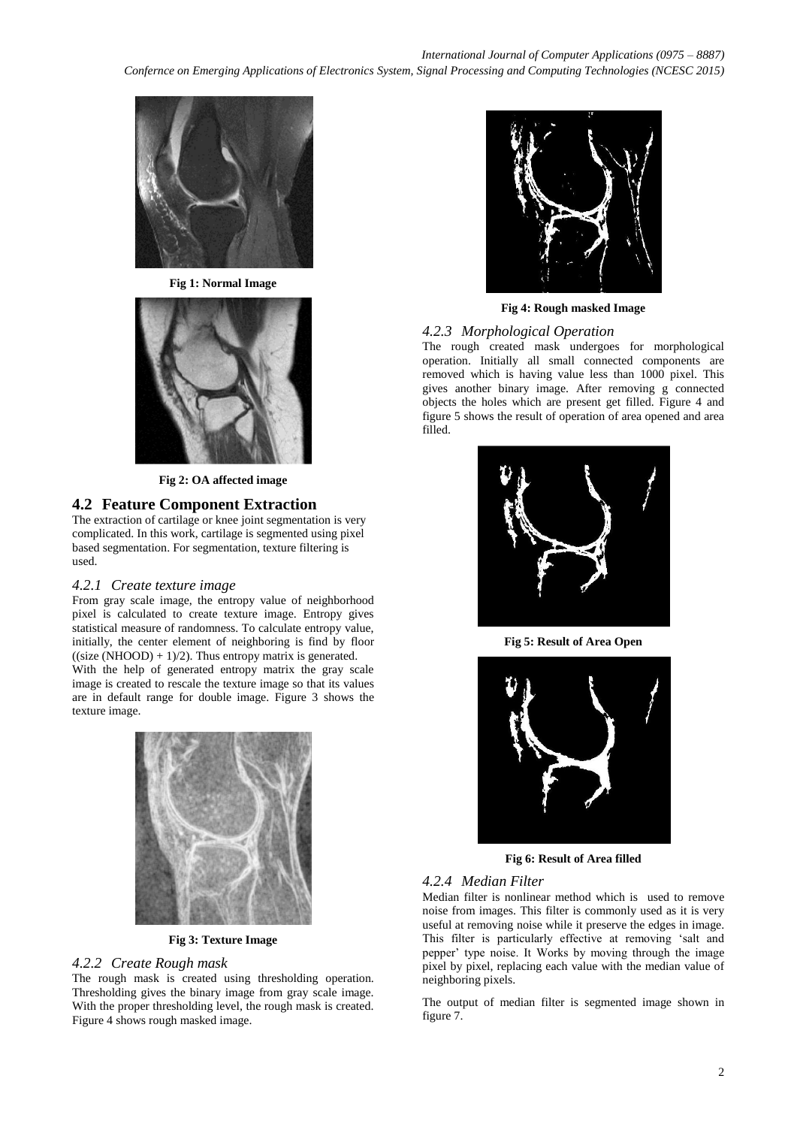

**Fig 1: Normal Image**



**Fig 2: OA affected image**

## **4.2 Feature Component Extraction**

The extraction of cartilage or knee joint segmentation is very complicated. In this work, cartilage is segmented using pixel based segmentation. For segmentation, texture filtering is used.

## *4.2.1 Create texture image*

From gray scale image, the entropy value of neighborhood pixel is calculated to create texture image. Entropy gives statistical measure of randomness. To calculate entropy value, initially, the center element of neighboring is find by floor  $((size (NHOOD) + 1)/2)$ . Thus entropy matrix is generated. With the help of generated entropy matrix the gray scale image is created to rescale the texture image so that its values

are in default range for double image. Figure 3 shows the texture image.



**Fig 3: Texture Image**

#### *4.2.2 Create Rough mask*

The rough mask is created using thresholding operation. Thresholding gives the binary image from gray scale image. With the proper thresholding level, the rough mask is created. Figure 4 shows rough masked image.



**Fig 4: Rough masked Image**

## *4.2.3 Morphological Operation*

The rough created mask undergoes for morphological operation. Initially all small connected components are removed which is having value less than 1000 pixel. This gives another binary image. After removing g connected objects the holes which are present get filled. Figure 4 and figure 5 shows the result of operation of area opened and area filled.



**Fig 5: Result of Area Open**



**Fig 6: Result of Area filled**

## *4.2.4 Median Filter*

Median filter is nonlinear method which is used to remove noise from images. This filter is commonly used as it is very useful at removing noise while it preserve the edges in image. This filter is particularly effective at removing "salt and pepper" type noise. It Works by moving through the image pixel by pixel, replacing each value with the median value of neighboring pixels.

The output of median filter is segmented image shown in figure 7.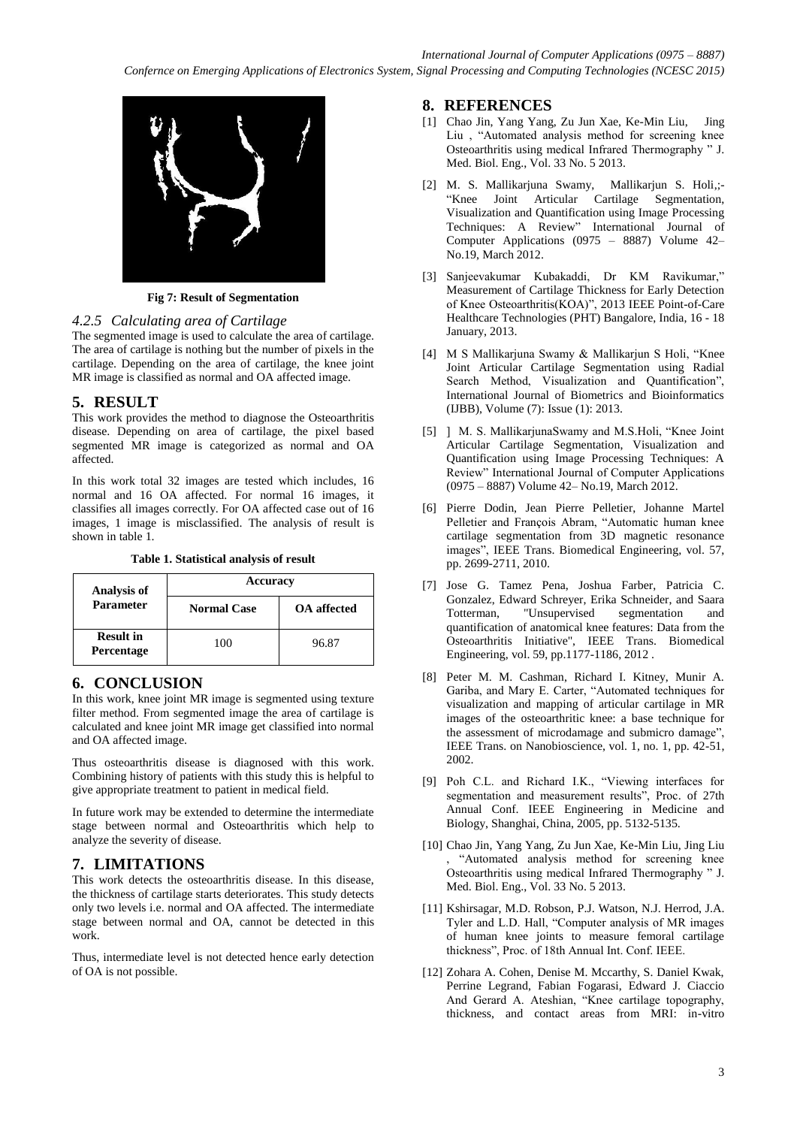

**Fig 7: Result of Segmentation**

#### *4.2.5 Calculating area of Cartilage*

The segmented image is used to calculate the area of cartilage. The area of cartilage is nothing but the number of pixels in the cartilage. Depending on the area of cartilage, the knee joint MR image is classified as normal and OA affected image.

## **5. RESULT**

This work provides the method to diagnose the Osteoarthritis disease. Depending on area of cartilage, the pixel based segmented MR image is categorized as normal and OA affected.

In this work total 32 images are tested which includes, 16 normal and 16 OA affected. For normal 16 images, it classifies all images correctly. For OA affected case out of 16 images, 1 image is misclassified. The analysis of result is shown in table 1.

| <b>Analysis of</b><br><b>Parameter</b> | Accuracy           |                    |
|----------------------------------------|--------------------|--------------------|
|                                        | <b>Normal Case</b> | <b>OA</b> affected |
| <b>Result in</b><br>Percentage         | 100                | 96.87              |

## **6. CONCLUSION**

In this work, knee joint MR image is segmented using texture filter method. From segmented image the area of cartilage is calculated and knee joint MR image get classified into normal and OA affected image.

Thus osteoarthritis disease is diagnosed with this work. Combining history of patients with this study this is helpful to give appropriate treatment to patient in medical field.

In future work may be extended to determine the intermediate stage between normal and Osteoarthritis which help to analyze the severity of disease.

## **7. LIMITATIONS**

This work detects the osteoarthritis disease. In this disease, the thickness of cartilage starts deteriorates. This study detects only two levels i.e. normal and OA affected. The intermediate stage between normal and OA, cannot be detected in this work.

Thus, intermediate level is not detected hence early detection of OA is not possible.

#### **8. REFERENCES**

- [1] Chao Jin, Yang Yang, Zu Jun Xae, Ke-Min Liu, Jing Liu , "Automated analysis method for screening knee Osteoarthritis using medical Infrared Thermography " J. Med. Biol. Eng., Vol. 33 No. 5 2013.
- [2] M. S. Mallikarjuna Swamy, Mallikarjun S. Holi,;- Cartilage Segmentation, Visualization and Quantification using Image Processing Techniques: A Review" International Journal of Computer Applications (0975 – 8887) Volume 42– No.19, March 2012.
- [3] Sanjeevakumar Kubakaddi, Dr KM Ravikumar," Measurement of Cartilage Thickness for Early Detection of Knee Osteoarthritis(KOA)", 2013 IEEE Point-of-Care Healthcare Technologies (PHT) Bangalore, India, 16 - 18 January, 2013.
- [4] M S Mallikarjuna Swamy & Mallikarjun S Holi, "Knee Joint Articular Cartilage Segmentation using Radial Search Method, Visualization and Quantification", International Journal of Biometrics and Bioinformatics (IJBB), Volume (7): Issue (1): 2013.
- [5] ] M. S. MallikarjunaSwamy and M.S.Holi, "Knee Joint Articular Cartilage Segmentation, Visualization and Quantification using Image Processing Techniques: A Review" International Journal of Computer Applications (0975 – 8887) Volume 42– No.19, March 2012.
- [6] Pierre Dodin, Jean Pierre Pelletier, Johanne Martel Pelletier and François Abram, "Automatic human knee cartilage segmentation from 3D magnetic resonance images", IEEE Trans. Biomedical Engineering, vol. 57, pp. 2699-2711, 2010.
- [7] Jose G. Tamez Pena, Joshua Farber, Patricia C. Gonzalez, Edward Schreyer, Erika Schneider, and Saara Totterman, "Unsupervised segmentation and quantification of anatomical knee features: Data from the Osteoarthritis Initiative", IEEE Trans. Biomedical Engineering, vol. 59, pp.1177-1186, 2012 .
- [8] Peter M. M. Cashman, Richard I. Kitney, Munir A. Gariba, and Mary E. Carter, "Automated techniques for visualization and mapping of articular cartilage in MR images of the osteoarthritic knee: a base technique for the assessment of microdamage and submicro damage", IEEE Trans. on Nanobioscience, vol. 1, no. 1, pp. 42-51, 2002.
- [9] Poh C.L. and Richard I.K., "Viewing interfaces for segmentation and measurement results", Proc. of 27th Annual Conf. IEEE Engineering in Medicine and Biology, Shanghai, China, 2005, pp. 5132-5135.
- [10] Chao Jin, Yang Yang, Zu Jun Xae, Ke-Min Liu, Jing Liu , "Automated analysis method for screening knee Osteoarthritis using medical Infrared Thermography " J. Med. Biol. Eng., Vol. 33 No. 5 2013.
- [11] Kshirsagar, M.D. Robson, P.J. Watson, N.J. Herrod, J.A. Tyler and L.D. Hall, "Computer analysis of MR images of human knee joints to measure femoral cartilage thickness", Proc. of 18th Annual Int. Conf. IEEE.
- [12] Zohara A. Cohen, Denise M. Mccarthy, S. Daniel Kwak, Perrine Legrand, Fabian Fogarasi, Edward J. Ciaccio And Gerard A. Ateshian, "Knee cartilage topography, thickness, and contact areas from MRI: in-vitro